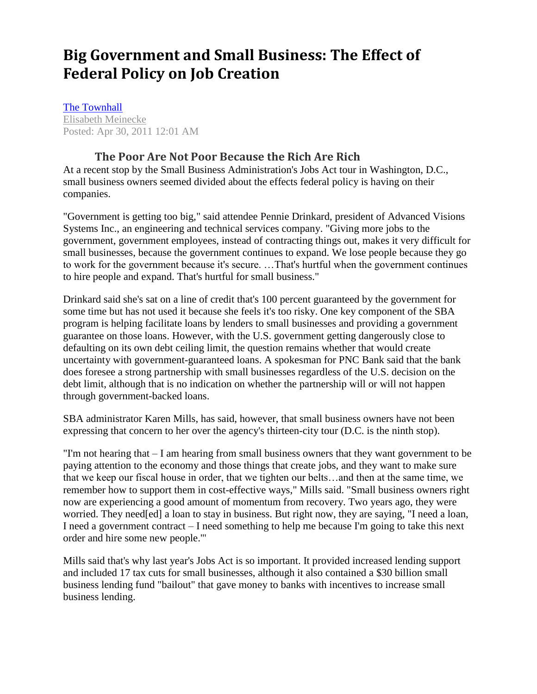## **Big Government and Small Business: The Effect of Federal Policy on Job Creation**

[The Townhall](https://townhall.com/columnists/elisabethmeinecke/2011/04/30/big-government-and-small-business-the-effect-of-federal-policy-on-job-creation-n801359) [Elisabeth Meinecke](https://townhall.com/columnists/elisabethmeinecke) Posted: Apr 30, 2011 12:01 AM

## **[The Poor Are Not Poor Because](https://townhall.com/columnists/starparker/2017/11/15/the-poor-are-not-poor-because-the-rich-are-rich-n2409395) the Rich Are Rich**

At a recent stop by the Small Business Administration's Jobs Act tour in Washington, D.C., small business owners seemed divided about the effects federal policy is having on their companies.

"Government is getting too big," said attendee Pennie Drinkard, president of Advanced Visions Systems Inc., an engineering and technical services company. "Giving more jobs to the government, government employees, instead of contracting things out, makes it very difficult for small businesses, because the government continues to expand. We lose people because they go to work for the government because it's secure. …That's hurtful when the government continues to hire people and expand. That's hurtful for small business."

Drinkard said she's sat on a line of credit that's 100 percent guaranteed by the government for some time but has not used it because she feels it's too risky. One key component of the SBA program is helping facilitate loans by lenders to small businesses and providing a government guarantee on those loans. However, with the U.S. government getting dangerously close to defaulting on its own debt ceiling limit, the question remains whether that would create uncertainty with government-guaranteed loans. A spokesman for PNC Bank said that the bank does foresee a strong partnership with small businesses regardless of the U.S. decision on the debt limit, although that is no indication on whether the partnership will or will not happen through government-backed loans.

SBA administrator Karen Mills, has said, however, that small business owners have not been expressing that concern to her over the agency's thirteen-city tour (D.C. is the ninth stop).

"I'm not hearing that – I am hearing from small business owners that they want government to be paying attention to the economy and those things that create jobs, and they want to make sure that we keep our fiscal house in order, that we tighten our belts…and then at the same time, we remember how to support them in cost-effective ways," Mills said. "Small business owners right now are experiencing a good amount of momentum from recovery. Two years ago, they were worried. They need[ed] a loan to stay in business. But right now, they are saying, "I need a loan, I need a government contract – I need something to help me because I'm going to take this next order and hire some new people.'"

Mills said that's why last year's Jobs Act is so important. It provided increased lending support and included 17 tax cuts for small businesses, although it also contained a \$30 billion small business lending fund "bailout" that gave money to banks with incentives to increase small business lending.